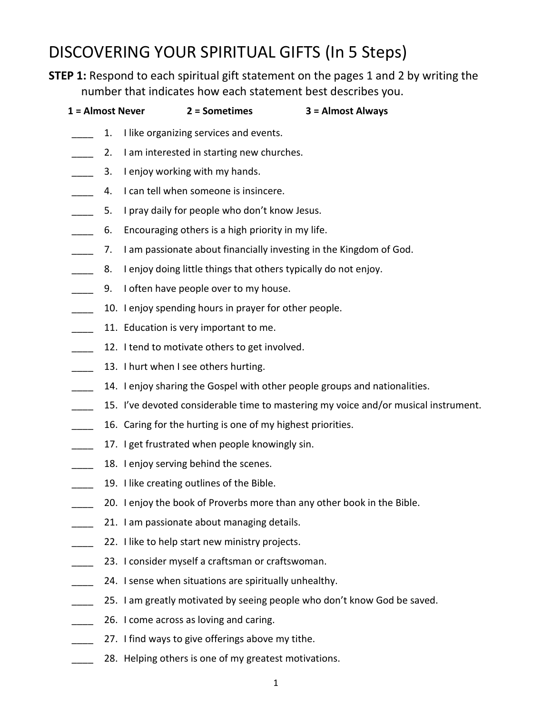# DISCOVERING YOUR SPIRITUAL GIFTS (In 5 Steps)

**STEP 1:** Respond to each spiritual gift statement on the pages 1 and 2 by writing the number that indicates how each statement best describes you.

| 1 = Almost Never         |    | 2 = Sometimes                                                      | 3 = Almost Always                                                                   |
|--------------------------|----|--------------------------------------------------------------------|-------------------------------------------------------------------------------------|
|                          | 1. | I like organizing services and events.                             |                                                                                     |
|                          | 2. | I am interested in starting new churches.                          |                                                                                     |
| $\overline{\phantom{a}}$ | 3. | I enjoy working with my hands.                                     |                                                                                     |
| $\overline{\phantom{a}}$ | 4. | I can tell when someone is insincere.                              |                                                                                     |
| $\overline{\phantom{a}}$ | 5. | I pray daily for people who don't know Jesus.                      |                                                                                     |
| $\overline{\phantom{a}}$ | 6. | Encouraging others is a high priority in my life.                  |                                                                                     |
| $\overline{\phantom{a}}$ | 7. | I am passionate about financially investing in the Kingdom of God. |                                                                                     |
| $\overline{\phantom{a}}$ | 8. | I enjoy doing little things that others typically do not enjoy.    |                                                                                     |
| $\overline{\phantom{a}}$ | 9. | I often have people over to my house.                              |                                                                                     |
| $\overline{\phantom{a}}$ |    | 10. I enjoy spending hours in prayer for other people.             |                                                                                     |
|                          |    | 11. Education is very important to me.                             |                                                                                     |
| $\overline{\phantom{a}}$ |    | 12. I tend to motivate others to get involved.                     |                                                                                     |
| $\overline{\phantom{a}}$ |    | 13. I hurt when I see others hurting.                              |                                                                                     |
| $\overline{\phantom{a}}$ |    |                                                                    | 14. I enjoy sharing the Gospel with other people groups and nationalities.          |
| $\overline{\phantom{a}}$ |    |                                                                    | 15. I've devoted considerable time to mastering my voice and/or musical instrument. |
| $\overline{\phantom{a}}$ |    | 16. Caring for the hurting is one of my highest priorities.        |                                                                                     |
| $\overline{\phantom{a}}$ |    | 17. I get frustrated when people knowingly sin.                    |                                                                                     |
| $\overline{\phantom{a}}$ |    | 18. I enjoy serving behind the scenes.                             |                                                                                     |
| $\overline{\phantom{a}}$ |    | 19. I like creating outlines of the Bible.                         |                                                                                     |
| $\overline{a}$           |    |                                                                    | 20. I enjoy the book of Proverbs more than any other book in the Bible.             |
| $\mathbb{R}^n$           |    | 21. I am passionate about managing details.                        |                                                                                     |
|                          |    | 22. I like to help start new ministry projects.                    |                                                                                     |
|                          |    |                                                                    |                                                                                     |

- 23. I consider myself a craftsman or craftswoman.
- 24. I sense when situations are spiritually unhealthy.
- 25. I am greatly motivated by seeing people who don't know God be saved.
- 26. I come across as loving and caring.
- 27. I find ways to give offerings above my tithe.
- 28. Helping others is one of my greatest motivations.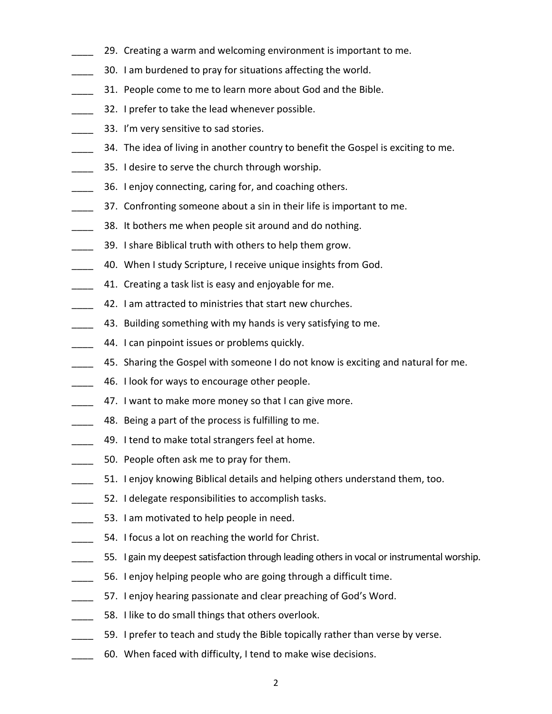- 29. Creating a warm and welcoming environment is important to me.
- 30. I am burdened to pray for situations affecting the world.
- 31. People come to me to learn more about God and the Bible.
- 32. I prefer to take the lead whenever possible.
- 33. I'm very sensitive to sad stories.
- 34. The idea of living in another country to benefit the Gospel is exciting to me.
- 35. I desire to serve the church through worship.
- 36. I enjoy connecting, caring for, and coaching others.
- 37. Confronting someone about a sin in their life is important to me.
- 38. It bothers me when people sit around and do nothing.
- \_\_\_\_ 39. I share Biblical truth with others to help them grow.
- 40. When I study Scripture, I receive unique insights from God.
- 41. Creating a task list is easy and enjoyable for me.
- 42. I am attracted to ministries that start new churches.
- 43. Building something with my hands is very satisfying to me.
- 44. I can pinpoint issues or problems quickly.
- 45. Sharing the Gospel with someone I do not know is exciting and natural for me.
- 46. I look for ways to encourage other people.
- 47. I want to make more money so that I can give more.
- 48. Being a part of the process is fulfilling to me.
- 49. I tend to make total strangers feel at home.
- 50. People often ask me to pray for them.
- \_\_\_\_ 51. I enjoy knowing Biblical details and helping others understand them, too.
- 52. I delegate responsibilities to accomplish tasks.
- 53. I am motivated to help people in need.
- **\_\_\_\_** 54. I focus a lot on reaching the world for Christ.
- 55. I gain my deepest satisfaction through leading others in vocal or instrumental worship.
- 56. I enjoy helping people who are going through a difficult time.
- 57. I enjoy hearing passionate and clear preaching of God's Word.
- 58. I like to do small things that others overlook.
	- 59. I prefer to teach and study the Bible topically rather than verse by verse.
- 60. When faced with difficulty, I tend to make wise decisions.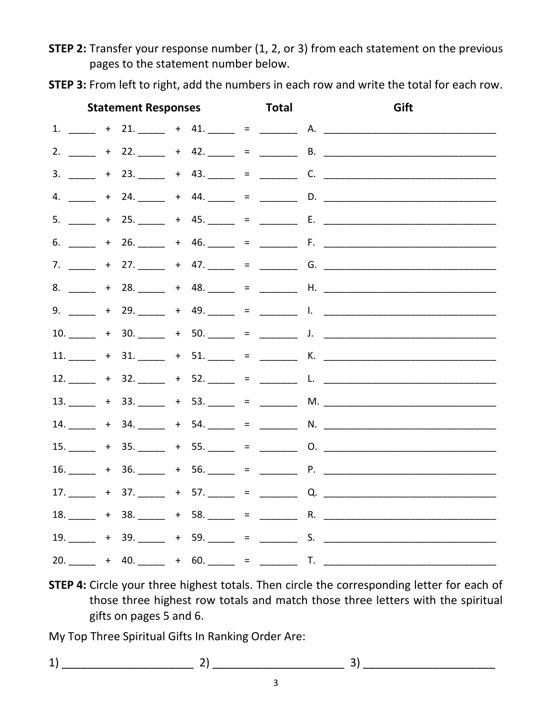**STEP 2:** Transfer your response number (1, 2, or 3) from each statement on the previous pages to the statement number below.

**Statement Responses Total** Gift 1.  $\frac{1}{2}$  + 21.  $\frac{1}{2}$  + 41.  $\frac{1}{2}$  =  $\frac{1}{2}$  A. 4.  $+$  24.  $+$  44.  $-$  =  $-$  D.  $-$ 5.  $+25. +45. = E.$ 9.  $+29. +49. = 1.$ 11.  $+31.$   $+51.$   $=$  X.  $13.$   $+ 33.$   $+ 53.$   $- 53.$   $- 53.$   $- 53.$   $- 53.$   $- 53.$   $- 53.$   $- 53.$   $- 53.$   $- 53.$   $- 53.$   $- 53.$   $- 53.$   $- 53.$   $- 53.$   $- 53.$   $- 53.$   $- 53.$   $- 53.$   $- 53.$   $- 53.$   $- 53.$   $- 53.$   $- 53.$   $- 53.$   $- 53.$  $17.$   $+ 37.$   $+ 57.$   $- 57.$   $- 57.$   $- 57.$ 18.  $-$  + 38.  $-$  + 58.  $-$  =  $-$  R.  $-$  R.  $19.$   $+ 39.$   $+ 59.$   $- 59.$   $- 5.$  S. 20.  $+$  40.  $-$  + 60.  $-$  =  $-$  T.

STEP 3: From left to right, add the numbers in each row and write the total for each row.

**STEP 4:** Circle your three highest totals. Then circle the corresponding letter for each of those three highest row totals and match those three letters with the spiritual gifts on pages 5 and 6.

My Top Three Spiritual Gifts In Ranking Order Are:

 $1)$  3)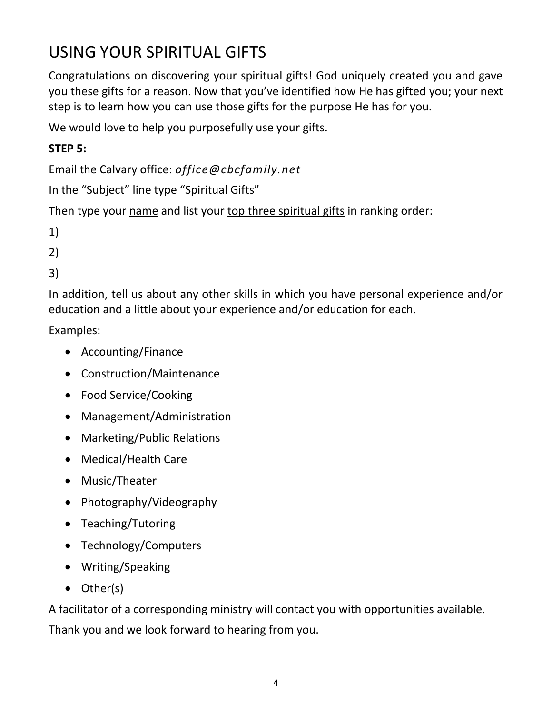# USING YOUR SPIRITUAL GIFTS

Congratulations on discovering your spiritual gifts! God uniquely created you and gave you these gifts for a reason. Now that you've identified how He has gifted you; your next step is to learn how you can use those gifts for the purpose He has for you.

We would love to help you purposefully use your gifts.

## **STEP 5:**

Email the Calvary office: *office@cbcfamily.net*

In the "Subject" line type "Spiritual Gifts"

Then type your name and list your top three spiritual gifts in ranking order:

1)

2)

3)

In addition, tell us about any other skills in which you have personal experience and/or education and a little about your experience and/or education for each.

Examples:

- Accounting/Finance
- Construction/Maintenance
- Food Service/Cooking
- Management/Administration
- Marketing/Public Relations
- Medical/Health Care
- Music/Theater
- Photography/Videography
- Teaching/Tutoring
- Technology/Computers
- Writing/Speaking
- Other(s)

A facilitator of a corresponding ministry will contact you with opportunities available. Thank you and we look forward to hearing from you.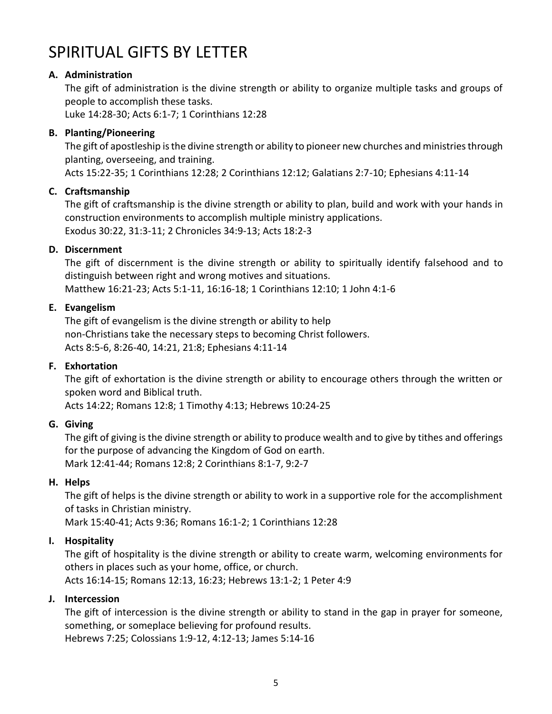# SPIRITUAL GIFTS BY LETTER

#### **A. Administration**

The gift of administration is the divine strength or ability to organize multiple tasks and groups of people to accomplish these tasks.

Luke 14:28-30; Acts 6:1-7; 1 Corinthians 12:28

#### **B. Planting/Pioneering**

The gift of apostleship is the divine strength or ability to pioneer new churches and ministries through planting, overseeing, and training.

Acts 15:22-35; 1 Corinthians 12:28; 2 Corinthians 12:12; Galatians 2:7-10; Ephesians 4:11-14

#### **C. Craftsmanship**

The gift of craftsmanship is the divine strength or ability to plan, build and work with your hands in construction environments to accomplish multiple ministry applications. Exodus 30:22, 31:3-11; 2 Chronicles 34:9-13; Acts 18:2-3

#### **D. Discernment**

The gift of discernment is the divine strength or ability to spiritually identify falsehood and to distinguish between right and wrong motives and situations. Matthew 16:21-23; Acts 5:1-11, 16:16-18; 1 Corinthians 12:10; 1 John 4:1-6

#### **E. Evangelism**

The gift of evangelism is the divine strength or ability to help non-Christians take the necessary steps to becoming Christ followers. Acts 8:5-6, 8:26-40, 14:21, 21:8; Ephesians 4:11-14

#### **F. Exhortation**

The gift of exhortation is the divine strength or ability to encourage others through the written or spoken word and Biblical truth.

Acts 14:22; Romans 12:8; 1 Timothy 4:13; Hebrews 10:24-25

#### **G. Giving**

The gift of giving is the divine strength or ability to produce wealth and to give by tithes and offerings for the purpose of advancing the Kingdom of God on earth. Mark 12:41-44; Romans 12:8; 2 Corinthians 8:1-7, 9:2-7

#### **H. Helps**

The gift of helps is the divine strength or ability to work in a supportive role for the accomplishment of tasks in Christian ministry.

Mark 15:40-41; Acts 9:36; Romans 16:1-2; 1 Corinthians 12:28

#### **I. Hospitality**

The gift of hospitality is the divine strength or ability to create warm, welcoming environments for others in places such as your home, office, or church. Acts 16:14-15; Romans 12:13, 16:23; Hebrews 13:1-2; 1 Peter 4:9

#### **J. Intercession**

The gift of intercession is the divine strength or ability to stand in the gap in prayer for someone, something, or someplace believing for profound results.

Hebrews 7:25; Colossians 1:9-12, 4:12-13; James 5:14-16